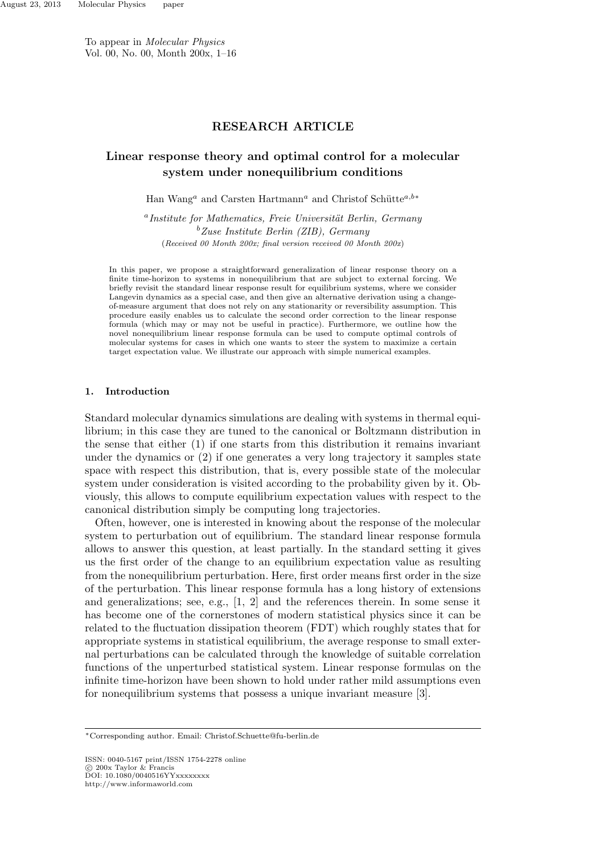To appear in *Molecular Physics* Vol. 00, No. 00, Month 200x, 1–16

# **RESEARCH ARTICLE**

# **Linear response theory and optimal control for a molecular system under nonequilibrium conditions**

Han Wang<sup>*a*</sup> and Carsten Hartmann<sup>*a*</sup> and Christof Schütte<sup>*a*,*b*<sup>∗</sup></sup>

<sup>a</sup> Institute for Mathematics, Freie Universität Berlin, Germany *<sup>b</sup>Zuse Institute Berlin (ZIB), Germany* (*Received 00 Month 200x; final version received 00 Month 200x*)

In this paper, we propose a straightforward generalization of linear response theory on a finite time-horizon to systems in nonequilibrium that are subject to external forcing. We briefly revisit the standard linear response result for equilibrium systems, where we consider Langevin dynamics as a special case, and then give an alternative derivation using a changeof-measure argument that does not rely on any stationarity or reversibility assumption. This procedure easily enables us to calculate the second order correction to the linear response formula (which may or may not be useful in practice). Furthermore, we outline how the novel nonequilibrium linear response formula can be used to compute optimal controls of molecular systems for cases in which one wants to steer the system to maximize a certain target expectation value. We illustrate our approach with simple numerical examples.

## **1. Introduction**

Standard molecular dynamics simulations are dealing with systems in thermal equilibrium; in this case they are tuned to the canonical or Boltzmann distribution in the sense that either (1) if one starts from this distribution it remains invariant under the dynamics or (2) if one generates a very long trajectory it samples state space with respect this distribution, that is, every possible state of the molecular system under consideration is visited according to the probability given by it. Obviously, this allows to compute equilibrium expectation values with respect to the canonical distribution simply be computing long trajectories.

Often, however, one is interested in knowing about the response of the molecular system to perturbation out of equilibrium. The standard linear response formula allows to answer this question, at least partially. In the standard setting it gives us the first order of the change to an equilibrium expectation value as resulting from the nonequilibrium perturbation. Here, first order means first order in the size of the perturbation. This linear response formula has a long history of extensions and generalizations; see, e.g., [1, 2] and the references therein. In some sense it has become one of the cornerstones of modern statistical physics since it can be related to the fluctuation dissipation theorem (FDT) which roughly states that for appropriate systems in statistical equilibrium, the average response to small external perturbations can be calculated through the knowledge of suitable correlation functions of the unperturbed statistical system. Linear response formulas on the infinite time-horizon have been shown to hold under rather mild assumptions even for nonequilibrium systems that possess a unique invariant measure [3].

*<sup>∗</sup>*Corresponding author. Email: Christof.Schuette@fu-berlin.de

ISSN: 0040-5167 print/ISSN 1754-2278 online *⃝*c 200x Taylor & Francis DOI: 10.1080/0040516YYxxxxxxxx http://www.informaworld.com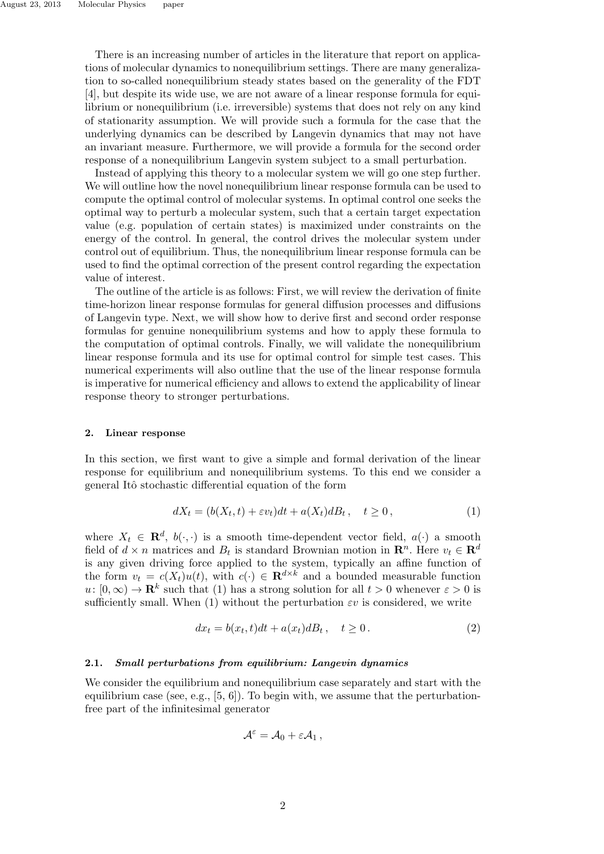There is an increasing number of articles in the literature that report on applications of molecular dynamics to nonequilibrium settings. There are many generalization to so-called nonequilibrium steady states based on the generality of the FDT [4], but despite its wide use, we are not aware of a linear response formula for equilibrium or nonequilibrium (i.e. irreversible) systems that does not rely on any kind of stationarity assumption. We will provide such a formula for the case that the underlying dynamics can be described by Langevin dynamics that may not have an invariant measure. Furthermore, we will provide a formula for the second order response of a nonequilibrium Langevin system subject to a small perturbation.

Instead of applying this theory to a molecular system we will go one step further. We will outline how the novel nonequilibrium linear response formula can be used to compute the optimal control of molecular systems. In optimal control one seeks the optimal way to perturb a molecular system, such that a certain target expectation value (e.g. population of certain states) is maximized under constraints on the energy of the control. In general, the control drives the molecular system under control out of equilibrium. Thus, the nonequilibrium linear response formula can be used to find the optimal correction of the present control regarding the expectation value of interest.

The outline of the article is as follows: First, we will review the derivation of finite time-horizon linear response formulas for general diffusion processes and diffusions of Langevin type. Next, we will show how to derive first and second order response formulas for genuine nonequilibrium systems and how to apply these formula to the computation of optimal controls. Finally, we will validate the nonequilibrium linear response formula and its use for optimal control for simple test cases. This numerical experiments will also outline that the use of the linear response formula is imperative for numerical efficiency and allows to extend the applicability of linear response theory to stronger perturbations.

## **2. Linear response**

In this section, we first want to give a simple and formal derivation of the linear response for equilibrium and nonequilibrium systems. To this end we consider a general Itˆo stochastic differential equation of the form

$$
dX_t = (b(X_t, t) + \varepsilon v_t)dt + a(X_t)dB_t, \quad t \ge 0,
$$
\n<sup>(1)</sup>

where  $X_t \in \mathbf{R}^d$ ,  $b(\cdot, \cdot)$  is a smooth time-dependent vector field,  $a(\cdot)$  a smooth field of  $d \times n$  matrices and  $B_t$  is standard Brownian motion in  $\mathbb{R}^n$ . Here  $v_t \in \mathbb{R}^d$ is any given driving force applied to the system, typically an affine function of the form  $v_t = c(X_t)u(t)$ , with  $c(\cdot) \in \mathbb{R}^{d \times k}$  and a bounded measurable function  $u: [0, \infty) \to \mathbf{R}^k$  such that (1) has a strong solution for all  $t > 0$  whenever  $\varepsilon > 0$  is sufficiently small. When (1) without the perturbation *εv* is considered, we write

$$
dx_t = b(x_t, t)dt + a(x_t)dB_t, \quad t \ge 0.
$$
\n<sup>(2)</sup>

## **2.1.** *Small perturbations from equilibrium: Langevin dynamics*

We consider the equilibrium and nonequilibrium case separately and start with the equilibrium case (see, e.g.,  $[5, 6]$ ). To begin with, we assume that the perturbationfree part of the infinitesimal generator

$$
\mathcal{A}^\varepsilon = \mathcal{A}_0 + \varepsilon \mathcal{A}_1\,,
$$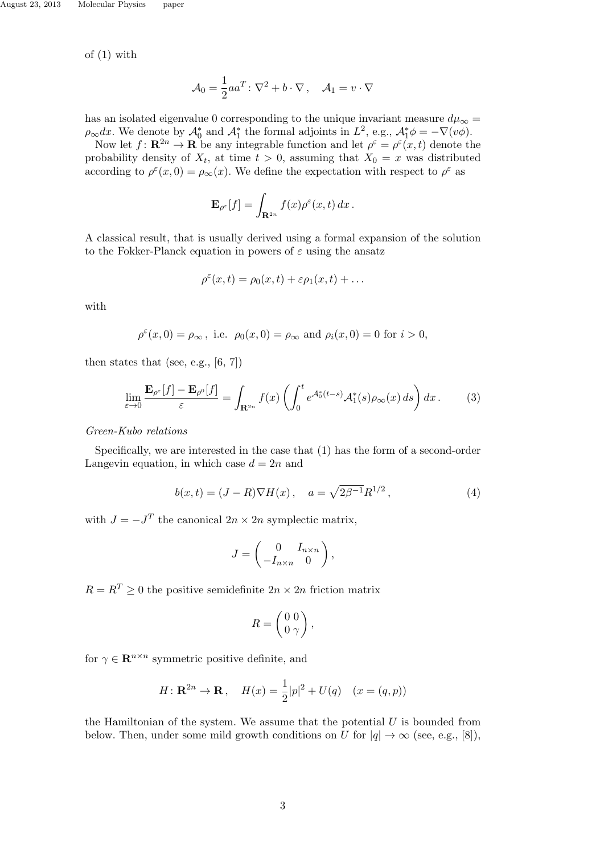of (1) with

$$
\mathcal{A}_0 = \frac{1}{2} a a^T \colon \nabla^2 + b \cdot \nabla , \quad \mathcal{A}_1 = v \cdot \nabla
$$

has an isolated eigenvalue 0 corresponding to the unique invariant measure  $d\mu_{\infty} =$  $\rho_{\infty} dx$ . We denote by  $\mathcal{A}_0^*$  and  $\mathcal{A}_1^*$  the formal adjoints in  $L^2$ , e.g.,  $\mathcal{A}_1^* \phi = -\nabla(v\phi)$ .

Now let  $f: \mathbb{R}^{2n} \to \mathbb{R}$  be any integrable function and let  $\rho^{\varepsilon} = \rho^{\varepsilon}(x, t)$  denote the probability density of  $X_t$ , at time  $t > 0$ , assuming that  $X_0 = x$  was distributed according to  $\rho^{\varepsilon}(x,0) = \rho_{\infty}(x)$ . We define the expectation with respect to  $\rho^{\varepsilon}$  as

$$
\mathbf{E}_{\rho^{\varepsilon}}[f] = \int_{\mathbf{R}^{2n}} f(x) \rho^{\varepsilon}(x,t) \, dx \, .
$$

A classical result, that is usually derived using a formal expansion of the solution to the Fokker-Planck equation in powers of *ε* using the ansatz

$$
\rho^{\varepsilon}(x,t)=\rho_0(x,t)+\varepsilon\rho_1(x,t)+\ldots
$$

with

$$
\rho^{\varepsilon}(x,0) = \rho_{\infty}, \text{ i.e. } \rho_0(x,0) = \rho_{\infty} \text{ and } \rho_i(x,0) = 0 \text{ for } i > 0,
$$

then states that (see, e.g.,  $[6, 7]$ )

$$
\lim_{\varepsilon \to 0} \frac{\mathbf{E}_{\rho^{\varepsilon}}[f] - \mathbf{E}_{\rho^0}[f]}{\varepsilon} = \int_{\mathbf{R}^{2n}} f(x) \left( \int_0^t e^{\mathcal{A}_0^*(t-s)} \mathcal{A}_1^*(s) \rho_{\infty}(x) \, ds \right) dx. \tag{3}
$$

*Green-Kubo relations*

Specifically, we are interested in the case that (1) has the form of a second-order Langevin equation, in which case  $d = 2n$  and

$$
b(x,t) = (J - R)\nabla H(x), \quad a = \sqrt{2\beta^{-1}}R^{1/2}, \tag{4}
$$

with  $J = -J<sup>T</sup>$  the canonical  $2n \times 2n$  symplectic matrix,

$$
J=\left(\begin{array}{cc} 0&I_{n\times n}\\-I_{n\times n}&0\end{array}\right),
$$

 $R = R^T \geq 0$  the positive semidefinite  $2n \times 2n$  friction matrix

$$
R = \begin{pmatrix} 0 & 0 \\ 0 & \gamma \end{pmatrix},
$$

for  $\gamma \in \mathbb{R}^{n \times n}$  symmetric positive definite, and

$$
H: \mathbf{R}^{2n} \to \mathbf{R}, \quad H(x) = \frac{1}{2}|p|^2 + U(q) \quad (x = (q, p))
$$

the Hamiltonian of the system. We assume that the potential *U* is bounded from below. Then, under some mild growth conditions on *U* for  $|q| \to \infty$  (see, e.g., [8]),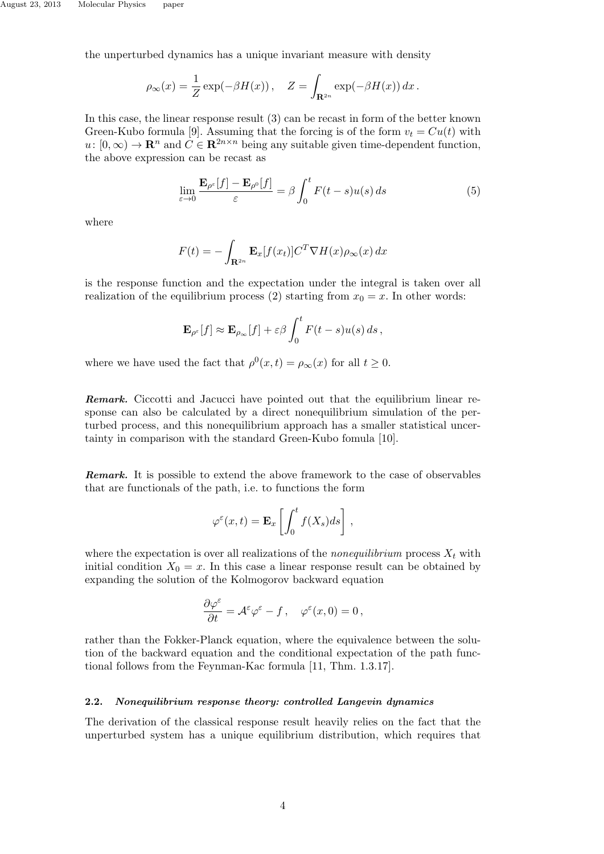the unperturbed dynamics has a unique invariant measure with density

$$
\rho_{\infty}(x) = \frac{1}{Z} \exp(-\beta H(x)), \quad Z = \int_{\mathbf{R}^{2n}} \exp(-\beta H(x)) dx.
$$

In this case, the linear response result (3) can be recast in form of the better known Green-Kubo formula [9]. Assuming that the forcing is of the form  $v_t = Cu(t)$  with  $u: [0, \infty) \to \mathbb{R}^n$  and  $C \in \mathbb{R}^{2n \times n}$  being any suitable given time-dependent function, the above expression can be recast as

$$
\lim_{\varepsilon \to 0} \frac{\mathbf{E}_{\rho^{\varepsilon}}[f] - \mathbf{E}_{\rho^0}[f]}{\varepsilon} = \beta \int_0^t F(t - s) u(s) \, ds \tag{5}
$$

where

$$
F(t) = -\int_{\mathbf{R}^{2n}} \mathbf{E}_x[f(x_t)] C^T \nabla H(x) \rho_{\infty}(x) dx
$$

is the response function and the expectation under the integral is taken over all realization of the equilibrium process (2) starting from  $x_0 = x$ . In other words:

$$
\mathbf{E}_{\rho^{\varepsilon}}[f] \approx \mathbf{E}_{\rho_{\infty}}[f] + \varepsilon \beta \int_0^t F(t-s)u(s) \, ds \,,
$$

where we have used the fact that  $\rho^0(x,t) = \rho_\infty(x)$  for all  $t \geq 0$ .

**Remark.** Ciccotti and Jacucci have pointed out that the equilibrium linear response can also be calculated by a direct nonequilibrium simulation of the perturbed process, and this nonequilibrium approach has a smaller statistical uncertainty in comparison with the standard Green-Kubo fomula [10].

*Remark.* It is possible to extend the above framework to the case of observables that are functionals of the path, i.e. to functions the form

$$
\varphi^{\varepsilon}(x,t) = \mathbf{E}_x \left[ \int_0^t f(X_s) ds \right],
$$

where the expectation is over all realizations of the *nonequilibrium* process  $X_t$  with initial condition  $X_0 = x$ . In this case a linear response result can be obtained by expanding the solution of the Kolmogorov backward equation

$$
\frac{\partial \varphi^\varepsilon}{\partial t} = \mathcal{A}^\varepsilon \varphi^\varepsilon - f\,,\quad \varphi^\varepsilon(x,0) = 0\,,
$$

rather than the Fokker-Planck equation, where the equivalence between the solution of the backward equation and the conditional expectation of the path functional follows from the Feynman-Kac formula [11, Thm. 1.3.17].

### **2.2.** *Nonequilibrium response theory: controlled Langevin dynamics*

The derivation of the classical response result heavily relies on the fact that the unperturbed system has a unique equilibrium distribution, which requires that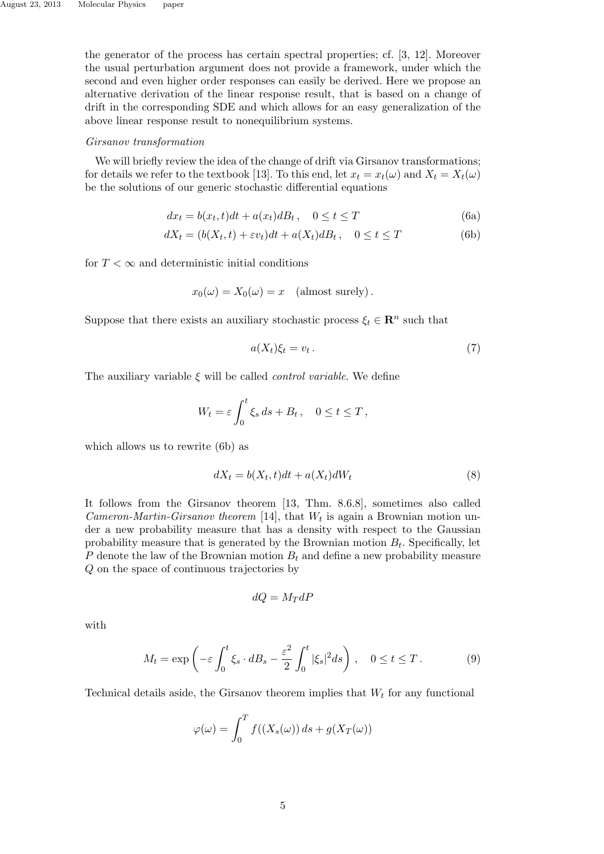the generator of the process has certain spectral properties; cf. [3, 12]. Moreover the usual perturbation argument does not provide a framework, under which the second and even higher order responses can easily be derived. Here we propose an alternative derivation of the linear response result, that is based on a change of drift in the corresponding SDE and which allows for an easy generalization of the above linear response result to nonequilibrium systems.

## *Girsanov transformation*

We will briefly review the idea of the change of drift via Girsanov transformations; for details we refer to the textbook [13]. To this end, let  $x_t = x_t(\omega)$  and  $X_t = X_t(\omega)$ be the solutions of our generic stochastic differential equations

$$
dx_t = b(x_t, t)dt + a(x_t)dB_t, \quad 0 \le t \le T
$$
\n(6a)

$$
dX_t = (b(X_t, t) + \varepsilon v_t)dt + a(X_t)dB_t, \quad 0 \le t \le T
$$
 (6b)

for  $T < \infty$  and deterministic initial conditions

$$
x_0(\omega) = X_0(\omega) = x
$$
 (almost surely).

Suppose that there exists an auxiliary stochastic process  $\xi_t \in \mathbb{R}^n$  such that

$$
a(X_t)\xi_t = v_t. \tag{7}
$$

The auxiliary variable *ξ* will be called *control variable*. We define

$$
W_t = \varepsilon \int_0^t \xi_s \, ds + B_t \,, \quad 0 \le t \le T \,,
$$

which allows us to rewrite (6b) as

$$
dX_t = b(X_t, t)dt + a(X_t)dW_t
$$
\n<sup>(8)</sup>

It follows from the Girsanov theorem [13, Thm. 8.6.8], sometimes also called *Cameron-Martin-Girsanov theorem* [14], that  $W_t$  is again a Brownian motion under a new probability measure that has a density with respect to the Gaussian probability measure that is generated by the Brownian motion  $B_t$ . Specifically, let *P* denote the law of the Brownian motion  $B_t$  and define a new probability measure *Q* on the space of continuous trajectories by

$$
dQ = M_T dP
$$

with

$$
M_t = \exp\left(-\varepsilon \int_0^t \xi_s \cdot dB_s - \frac{\varepsilon^2}{2} \int_0^t |\xi_s|^2 ds\right), \quad 0 \le t \le T. \tag{9}
$$

Technical details aside, the Girsanov theorem implies that *W<sup>t</sup>* for any functional

$$
\varphi(\omega) = \int_0^T f((X_s(\omega)) ds + g(X_T(\omega))
$$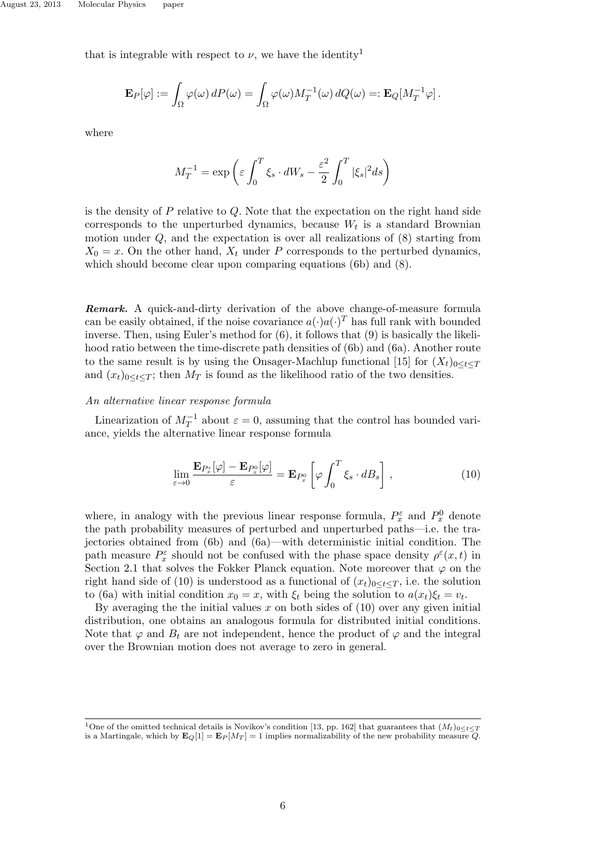that is integrable with respect to  $\nu$ , we have the identity<sup>1</sup>

$$
\mathbf{E}_P[\varphi] := \int_{\Omega} \varphi(\omega) dP(\omega) = \int_{\Omega} \varphi(\omega) M_T^{-1}(\omega) dQ(\omega) =: \mathbf{E}_Q[M_T^{-1}\varphi].
$$

where

$$
M_T^{-1} = \exp\left(\varepsilon \int_0^T \xi_s \cdot dW_s - \frac{\varepsilon^2}{2} \int_0^T |\xi_s|^2 ds\right)
$$

is the density of *P* relative to *Q*. Note that the expectation on the right hand side corresponds to the unperturbed dynamics, because  $W_t$  is a standard Brownian motion under *Q*, and the expectation is over all realizations of (8) starting from  $X_0 = x$ . On the other hand,  $X_t$  under *P* corresponds to the perturbed dynamics, which should become clear upon comparing equations (6b) and (8).

*Remark.* A quick-and-dirty derivation of the above change-of-measure formula can be easily obtained, if the noise covariance  $a(\cdot)a(\cdot)^T$  has full rank with bounded inverse. Then, using Euler's method for (6), it follows that (9) is basically the likelihood ratio between the time-discrete path densities of (6b) and (6a). Another route to the same result is by using the Onsager-Machlup functional [15] for  $(X_t)_{0 \le t \le T}$ and  $(x_t)_{0 \le t \le T}$ ; then  $M_T$  is found as the likelihood ratio of the two densities.

#### *An alternative linear response formula*

Linearization of  $M_T^{-1}$  about  $\varepsilon = 0$ , assuming that the control has bounded variance, yields the alternative linear response formula

$$
\lim_{\varepsilon \to 0} \frac{\mathbf{E}_{P_x^{\varepsilon}}[\varphi] - \mathbf{E}_{P_x^0}[\varphi]}{\varepsilon} = \mathbf{E}_{P_x^0} \left[ \varphi \int_0^T \xi_s \cdot dB_s \right], \qquad (10)
$$

where, in analogy with the previous linear response formula,  $P_x^{\varepsilon}$  and  $P_x^0$  denote the path probability measures of perturbed and unperturbed paths—i.e. the trajectories obtained from (6b) and (6a)—with deterministic initial condition. The path measure  $P_x^{\varepsilon}$  should not be confused with the phase space density  $\rho^{\varepsilon}(x,t)$  in Section 2.1 that solves the Fokker Planck equation. Note moreover that  $\varphi$  on the right hand side of (10) is understood as a functional of  $(x_t)_{0 \leq t \leq T}$ , i.e. the solution to (6a) with initial condition  $x_0 = x$ , with  $\xi_t$  being the solution to  $a(x_t)\xi_t = v_t$ .

By averaging the the initial values  $x$  on both sides of  $(10)$  over any given initial distribution, one obtains an analogous formula for distributed initial conditions. Note that  $\varphi$  and  $B_t$  are not independent, hence the product of  $\varphi$  and the integral over the Brownian motion does not average to zero in general.

<sup>&</sup>lt;sup>1</sup>One of the omitted technical details is Novikov's condition [13, pp. 162] that guarantees that  $(M_t)_{0 \le t \le T}$ is a Martingale, which by  $\mathbf{E}_Q[1] = \mathbf{E}_P[M_T] = 1$  implies normalizability of the new probability measure *Q*.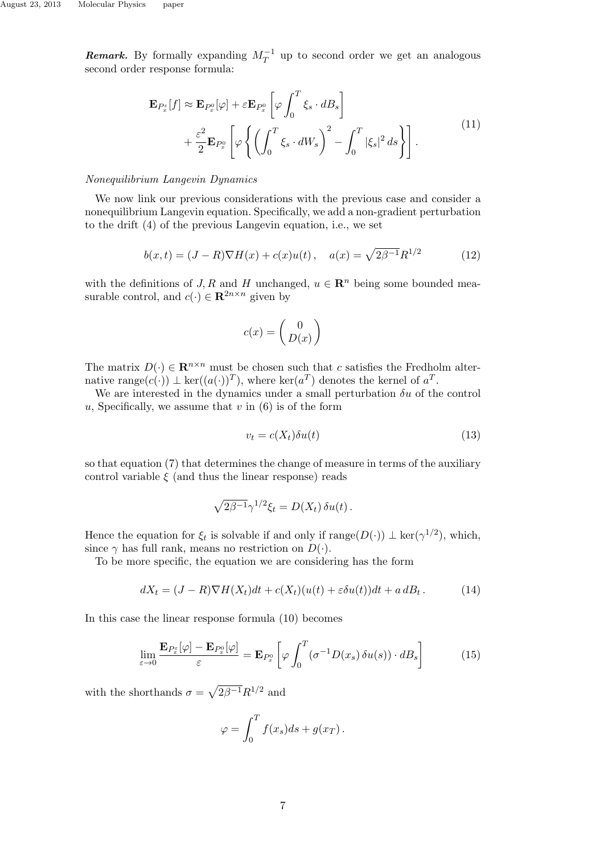*Remark.* By formally expanding  $M_T^{-1}$  up to second order we get an analogous second order response formula:

$$
\mathbf{E}_{P_x^{\varepsilon}}[f] \approx \mathbf{E}_{P_x^0}[\varphi] + \varepsilon \mathbf{E}_{P_x^0} \left[ \varphi \int_0^T \xi_s \cdot dB_s \right] \n+ \frac{\varepsilon^2}{2} \mathbf{E}_{P_x^0} \left[ \varphi \left\{ \left( \int_0^T \xi_s \cdot dW_s \right)^2 - \int_0^T |\xi_s|^2 ds \right\} \right].
$$
\n(11)

## *Nonequilibrium Langevin Dynamics*

We now link our previous considerations with the previous case and consider a nonequilibrium Langevin equation. Specifically, we add a non-gradient perturbation to the drift (4) of the previous Langevin equation, i.e., we set

$$
b(x,t) = (J - R)\nabla H(x) + c(x)u(t), \quad a(x) = \sqrt{2\beta^{-1}}R^{1/2}
$$
 (12)

with the definitions of *J, R* and *H* unchanged,  $u \in \mathbb{R}^n$  being some bounded measurable control, and  $c(\cdot) \in \mathbb{R}^{2n \times n}$  given by

$$
c(x) = \begin{pmatrix} 0 \\ D(x) \end{pmatrix}
$$

The matrix  $D(\cdot) \in \mathbb{R}^{n \times n}$  must be chosen such that *c* satisfies the Fredholm alternative range $(c(\cdot)) \perp \ker((a(\cdot))^T)$ , where  $\ker(a^T)$  denotes the kernel of  $a^T$ .

We are interested in the dynamics under a small perturbation  $\delta u$  of the control  $u$ , Specifically, we assume that  $v$  in  $(6)$  is of the form

$$
v_t = c(X_t) \delta u(t) \tag{13}
$$

so that equation (7) that determines the change of measure in terms of the auxiliary control variable  $\xi$  (and thus the linear response) reads

$$
\sqrt{2\beta^{-1}}\gamma^{1/2}\xi_t = D(X_t)\,\delta u(t)\,.
$$

Hence the equation for  $\xi_t$  is solvable if and only if  $\text{range}(D(\cdot)) \perp \text{ker}(\gamma^{1/2})$ , which, since  $\gamma$  has full rank, means no restriction on  $D(\cdot)$ .

To be more specific, the equation we are considering has the form

$$
dX_t = (J - R)\nabla H(X_t)dt + c(X_t)(u(t) + \varepsilon \delta u(t))dt + a dB_t.
$$
 (14)

In this case the linear response formula (10) becomes

$$
\lim_{\varepsilon \to 0} \frac{\mathbf{E}_{P_x^{\varepsilon}}[\varphi] - \mathbf{E}_{P_x^0}[\varphi]}{\varepsilon} = \mathbf{E}_{P_x^0} \left[ \varphi \int_0^T (\sigma^{-1} D(x_s) \, \delta u(s)) \cdot dB_s \right] \tag{15}
$$

with the shorthands  $\sigma = \sqrt{2\beta^{-1}}R^{1/2}$  and

$$
\varphi = \int_0^T f(x_s)ds + g(x_T).
$$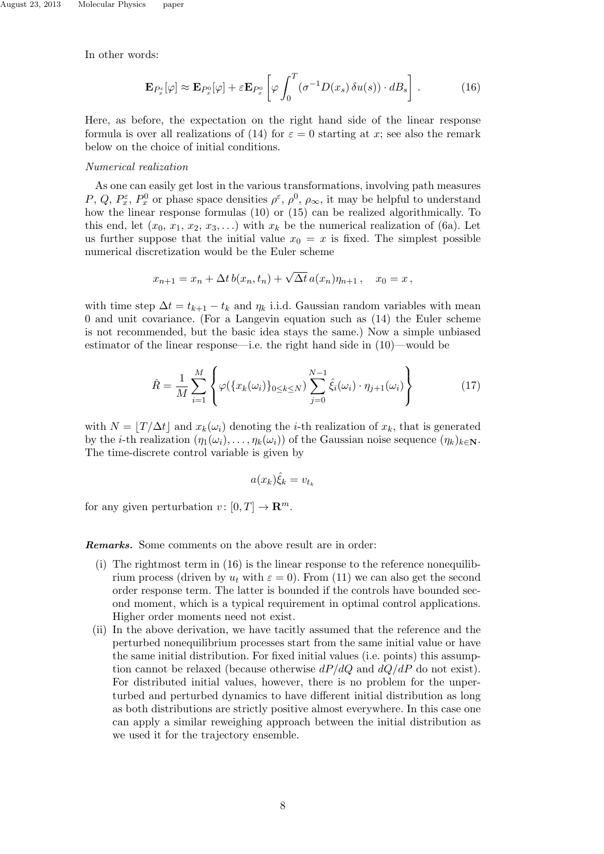In other words:

$$
\mathbf{E}_{P_x^{\varepsilon}}[\varphi] \approx \mathbf{E}_{P_x^0}[\varphi] + \varepsilon \mathbf{E}_{P_x^0} \left[ \varphi \int_0^T (\sigma^{-1} D(x_s) \, \delta u(s)) \cdot dB_s \right]. \tag{16}
$$

Here, as before, the expectation on the right hand side of the linear response formula is over all realizations of (14) for  $\varepsilon = 0$  starting at x; see also the remark below on the choice of initial conditions.

#### *Numerical realization*

As one can easily get lost in the various transformations, involving path measures *P*, *Q*,  $P_x^{\varepsilon}$ ,  $P_x^0$  or phase space densities  $\rho^{\varepsilon}$ ,  $\rho^0$ ,  $\rho_{\infty}$ , it may be helpful to understand how the linear response formulas (10) or (15) can be realized algorithmically. To this end, let  $(x_0, x_1, x_2, x_3, \ldots)$  with  $x_k$  be the numerical realization of (6a). Let us further suppose that the initial value  $x_0 = x$  is fixed. The simplest possible numerical discretization would be the Euler scheme

$$
x_{n+1} = x_n + \Delta t \, b(x_n, t_n) + \sqrt{\Delta t} \, a(x_n) \eta_{n+1} \,, \quad x_0 = x \,,
$$

with time step  $\Delta t = t_{k+1} - t_k$  and  $\eta_k$  i.i.d. Gaussian random variables with mean 0 and unit covariance. (For a Langevin equation such as (14) the Euler scheme is not recommended, but the basic idea stays the same.) Now a simple unbiased estimator of the linear response—i.e. the right hand side in (10)—would be

$$
\hat{R} = \frac{1}{M} \sum_{i=1}^{M} \left\{ \varphi(\{x_k(\omega_i)\}_{0 \le k \le N}) \sum_{j=0}^{N-1} \hat{\xi}_i(\omega_i) \cdot \eta_{j+1}(\omega_i) \right\}
$$
(17)

with  $N = |T/\Delta t|$  and  $x_k(\omega_i)$  denoting the *i*-th realization of  $x_k$ , that is generated by the *i*-th realization  $(\eta_1(\omega_i), \dots, \eta_k(\omega_i))$  of the Gaussian noise sequence  $(\eta_k)_{k \in \mathbb{N}}$ . The time-discrete control variable is given by

$$
a(x_k)\hat{\xi}_k = v_{t_k}
$$

for any given perturbation  $v : [0, T] \to \mathbb{R}^m$ .

*Remarks.* Some comments on the above result are in order:

- (i) The rightmost term in (16) is the linear response to the reference nonequilibrium process (driven by  $u_t$  with  $\varepsilon = 0$ ). From (11) we can also get the second order response term. The latter is bounded if the controls have bounded second moment, which is a typical requirement in optimal control applications. Higher order moments need not exist.
- (ii) In the above derivation, we have tacitly assumed that the reference and the perturbed nonequilibrium processes start from the same initial value or have the same initial distribution. For fixed initial values (i.e. points) this assumption cannot be relaxed (because otherwise *dP/dQ* and *dQ/dP* do not exist). For distributed initial values, however, there is no problem for the unperturbed and perturbed dynamics to have different initial distribution as long as both distributions are strictly positive almost everywhere. In this case one can apply a similar reweighing approach between the initial distribution as we used it for the trajectory ensemble.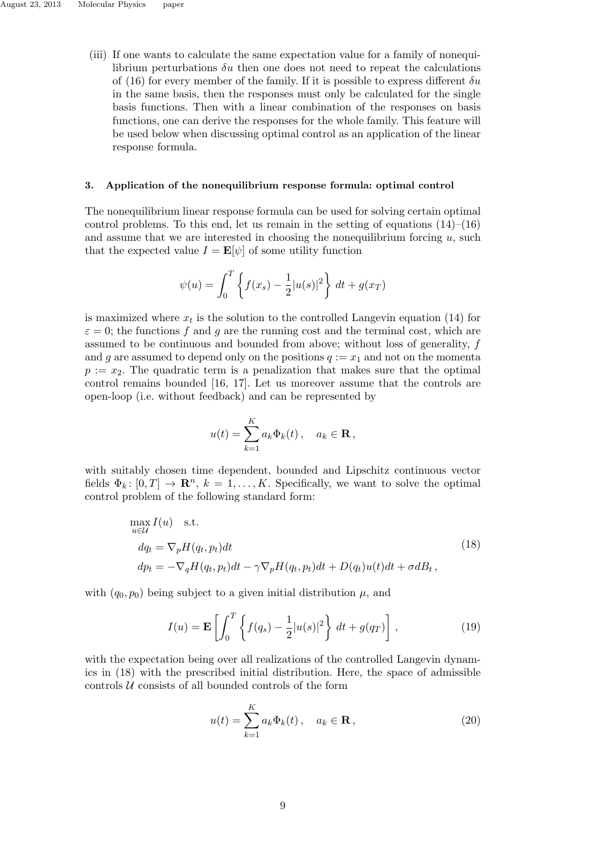(iii) If one wants to calculate the same expectation value for a family of nonequilibrium perturbations *δu* then one does not need to repeat the calculations of (16) for every member of the family. If it is possible to express different *δu* in the same basis, then the responses must only be calculated for the single basis functions. Then with a linear combination of the responses on basis functions, one can derive the responses for the whole family. This feature will be used below when discussing optimal control as an application of the linear response formula.

## **3. Application of the nonequilibrium response formula: optimal control**

The nonequilibrium linear response formula can be used for solving certain optimal control problems. To this end, let us remain in the setting of equations  $(14)$ – $(16)$ and assume that we are interested in choosing the nonequilibrium forcing *u*, such that the expected value  $I = \mathbf{E}[\psi]$  of some utility function

$$
\psi(u) = \int_0^T \left\{ f(x_s) - \frac{1}{2} |u(s)|^2 \right\} dt + g(x_T)
$$

is maximized where  $x_t$  is the solution to the controlled Langevin equation (14) for  $\varepsilon = 0$ ; the functions *f* and *g* are the running cost and the terminal cost, which are assumed to be continuous and bounded from above; without loss of generality, *f* and *g* are assumed to depend only on the positions  $q := x_1$  and not on the momenta  $p := x_2$ . The quadratic term is a penalization that makes sure that the optimal control remains bounded [16, 17]. Let us moreover assume that the controls are open-loop (i.e. without feedback) and can be represented by

$$
u(t) = \sum_{k=1}^{K} a_k \Phi_k(t), \quad a_k \in \mathbf{R},
$$

with suitably chosen time dependent, bounded and Lipschitz continuous vector fields  $\Phi_k: [0, T] \to \mathbb{R}^n$ ,  $k = 1, \ldots, K$ . Specifically, we want to solve the optimal control problem of the following standard form:

$$
\max_{u \in \mathcal{U}} I(u) \quad \text{s.t.}
$$
\n
$$
dq_t = \nabla_p H(q_t, p_t) dt
$$
\n
$$
dp_t = -\nabla_q H(q_t, p_t) dt - \gamma \nabla_p H(q_t, p_t) dt + D(q_t) u(t) dt + \sigma d_t,
$$
\n(18)

with  $(q_0, p_0)$  being subject to a given initial distribution  $\mu$ , and

$$
I(u) = \mathbf{E}\left[\int_0^T \left\{f(q_s) - \frac{1}{2}|u(s)|^2\right\} dt + g(q_T)\right],\tag{19}
$$

with the expectation being over all realizations of the controlled Langevin dynamics in (18) with the prescribed initial distribution. Here, the space of admissible controls *U* consists of all bounded controls of the form

$$
u(t) = \sum_{k=1}^{K} a_k \Phi_k(t), \quad a_k \in \mathbf{R},
$$
\n(20)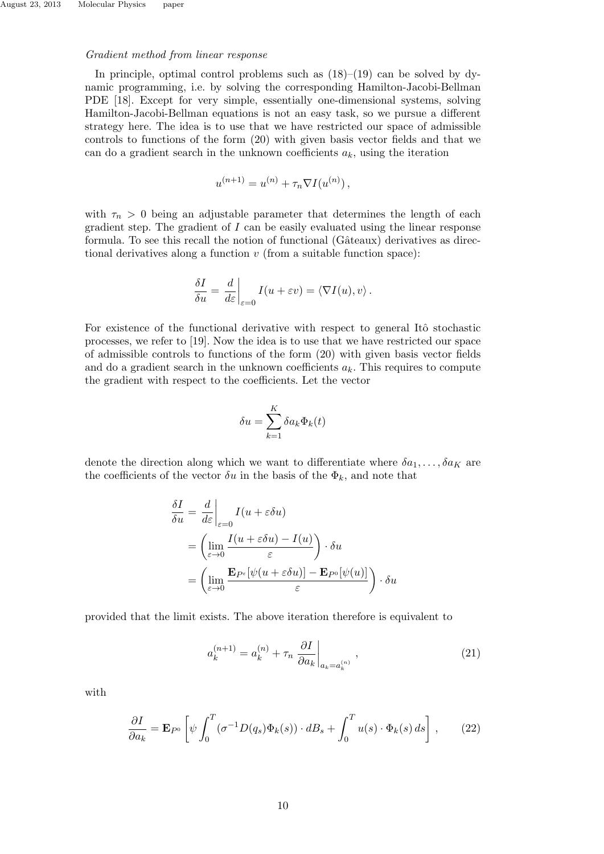# *Gradient method from linear response*

In principle, optimal control problems such as  $(18)$ – $(19)$  can be solved by dynamic programming, i.e. by solving the corresponding Hamilton-Jacobi-Bellman PDE [18]. Except for very simple, essentially one-dimensional systems, solving Hamilton-Jacobi-Bellman equations is not an easy task, so we pursue a different strategy here. The idea is to use that we have restricted our space of admissible controls to functions of the form (20) with given basis vector fields and that we can do a gradient search in the unknown coefficients  $a_k$ , using the iteration

$$
u^{(n+1)} = u^{(n)} + \tau_n \nabla I(u^{(n)}),
$$

with  $\tau_n > 0$  being an adjustable parameter that determines the length of each gradient step. The gradient of *I* can be easily evaluated using the linear response formula. To see this recall the notion of functional (Gâteaux) derivatives as directional derivatives along a function *v* (from a suitable function space):

$$
\frac{\delta I}{\delta u} = \left. \frac{d}{d\varepsilon} \right|_{\varepsilon=0} I(u + \varepsilon v) = \langle \nabla I(u), v \rangle.
$$

For existence of the functional derivative with respect to general Itô stochastic processes, we refer to [19]. Now the idea is to use that we have restricted our space of admissible controls to functions of the form (20) with given basis vector fields and do a gradient search in the unknown coefficients  $a_k$ . This requires to compute the gradient with respect to the coefficients. Let the vector

$$
\delta u = \sum_{k=1}^{K} \delta a_k \Phi_k(t)
$$

denote the direction along which we want to differentiate where  $\delta a_1, \ldots, \delta a_K$  are the coefficients of the vector  $\delta u$  in the basis of the  $\Phi_k$ , and note that

$$
\frac{\delta I}{\delta u} = \frac{d}{d\varepsilon}\Big|_{\varepsilon=0} I(u + \varepsilon \delta u)
$$
  
=  $\left(\lim_{\varepsilon \to 0} \frac{I(u + \varepsilon \delta u) - I(u)}{\varepsilon}\right) \cdot \delta u$   
=  $\left(\lim_{\varepsilon \to 0} \frac{\mathbf{E}_{P^{\varepsilon}}[\psi(u + \varepsilon \delta u)] - \mathbf{E}_{P^0}[\psi(u)]}{\varepsilon}\right) \cdot \delta u$ 

provided that the limit exists. The above iteration therefore is equivalent to

$$
a_k^{(n+1)} = a_k^{(n)} + \tau_n \left. \frac{\partial I}{\partial a_k} \right|_{a_k = a_k^{(n)}}, \qquad (21)
$$

with

$$
\frac{\partial I}{\partial a_k} = \mathbf{E}_{P^0} \left[ \psi \int_0^T (\sigma^{-1} D(q_s) \Phi_k(s)) \cdot dB_s + \int_0^T u(s) \cdot \Phi_k(s) ds \right], \qquad (22)
$$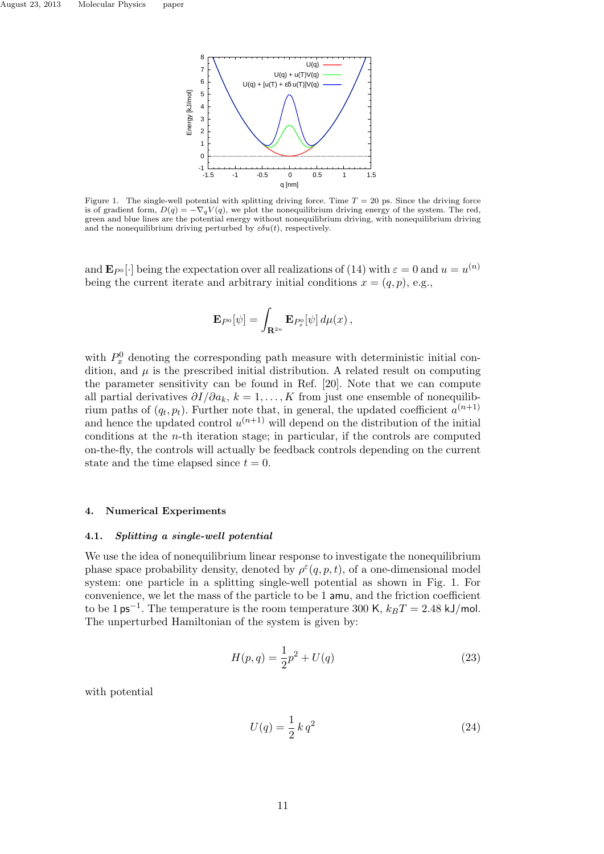

Figure 1. The single-well potential with splitting driving force. Time  $T = 20$  ps. Since the driving force is of gradient form,  $D(q) = -\nabla_q V(q)$ , we plot the nonequilibrium driving energy of the system. The red, green and blue lines are the potential energy without nonequilibrium driving, with nonequilibrium driving and the nonequilibrium driving perturbed by  $\varepsilon \delta u(t)$ , respectively.

and  $\mathbf{E}_{P^0}[\cdot]$  being the expectation over all realizations of (14) with  $\varepsilon = 0$  and  $u = u^{(n)}$ being the current iterate and arbitrary initial conditions  $x = (q, p)$ , e.g.,

$$
\mathbf{E}_{P^0}[\psi]=\int_{\mathbf{R}^{2n}}\mathbf{E}_{P_x^0}[\psi]\,d\mu(x)\,,
$$

with  $P_x^0$  denoting the corresponding path measure with deterministic initial condition, and  $\mu$  is the prescribed initial distribution. A related result on computing the parameter sensitivity can be found in Ref. [20]. Note that we can compute all partial derivatives  $\partial I/\partial a_k$ ,  $k = 1, \ldots, K$  from just one ensemble of nonequilibrium paths of  $(q_t, p_t)$ . Further note that, in general, the updated coefficient  $a^{(n+1)}$ and hence the updated control  $u^{(n+1)}$  will depend on the distribution of the initial conditions at the *n*-th iteration stage; in particular, if the controls are computed on-the-fly, the controls will actually be feedback controls depending on the current state and the time elapsed since  $t = 0$ .

#### **4. Numerical Experiments**

#### **4.1.** *Splitting a single-well potential*

We use the idea of nonequilibrium linear response to investigate the nonequilibrium phase space probability density, denoted by  $\rho^{\varepsilon}(q, p, t)$ , of a one-dimensional model system: one particle in a splitting single-well potential as shown in Fig. 1. For convenience, we let the mass of the particle to be 1 amu, and the friction coefficient to be 1 ps*−*<sup>1</sup> . The temperature is the room temperature 300 K, *kBT* = 2*.*48 kJ/mol. The unperturbed Hamiltonian of the system is given by:

$$
H(p,q) = \frac{1}{2}p^2 + U(q)
$$
\n(23)

with potential

$$
U(q) = \frac{1}{2} k q^2
$$
 (24)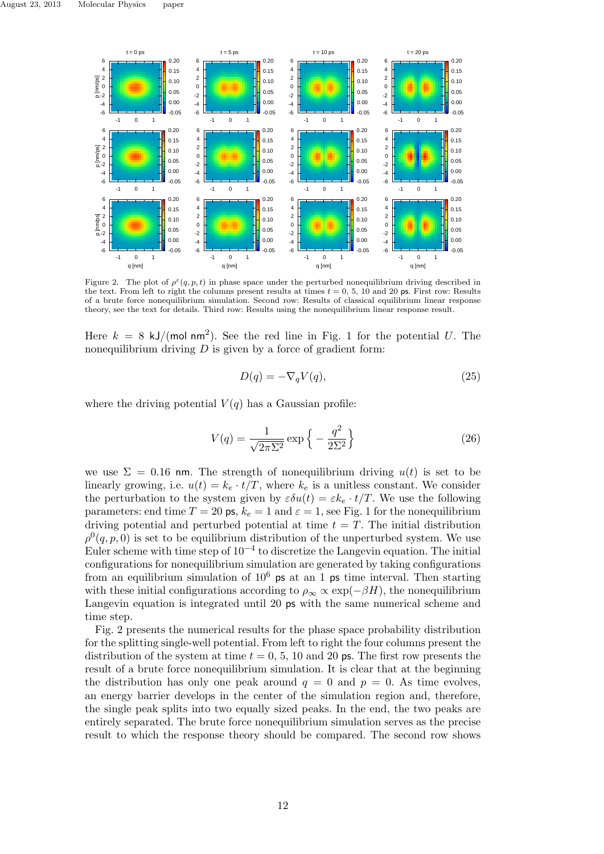

Figure 2. The plot of  $\rho^{\epsilon}(q, p, t)$  in phase space under the perturbed nonequilibrium driving described in the text. From left to right the columns present results at times  $t = 0, 5, 10$  and 20 ps. First row: Results of a brute force nonequilibrium simulation. Second row: Results of classical equilibrium linear response theory, see the text for details. Third row: Results using the nonequilibrium linear response result.

Here  $k = 8$  kJ/(mol nm<sup>2</sup>). See the red line in Fig. 1 for the potential U. The nonequilibrium driving *D* is given by a force of gradient form:

$$
D(q) = -\nabla_q V(q),\tag{25}
$$

where the driving potential  $V(q)$  has a Gaussian profile:

$$
V(q) = \frac{1}{\sqrt{2\pi\Sigma^2}} \exp\left\{-\frac{q^2}{2\Sigma^2}\right\} \tag{26}
$$

we use  $\Sigma = 0.16$  nm. The strength of nonequilibrium driving  $u(t)$  is set to be linearly growing, i.e.  $u(t) = k_e \cdot t/T$ , where  $k_e$  is a unitless constant. We consider the perturbation to the system given by  $\varepsilon \delta u(t) = \varepsilon k_e \cdot t/T$ . We use the following parameters: end time  $T = 20$  ps,  $k_e = 1$  and  $\varepsilon = 1$ , see Fig. 1 for the nonequilibrium driving potential and perturbed potential at time  $t = T$ . The initial distribution  $\rho^{0}(q, p, 0)$  is set to be equilibrium distribution of the unperturbed system. We use Euler scheme with time step of 10*−*<sup>4</sup> to discretize the Langevin equation. The initial configurations for nonequilibrium simulation are generated by taking configurations from an equilibrium simulation of  $10^6$  ps at an 1 ps time interval. Then starting with these initial configurations according to  $\rho_{\infty} \propto \exp(-\beta H)$ , the nonequilibrium Langevin equation is integrated until 20 ps with the same numerical scheme and time step.

Fig. 2 presents the numerical results for the phase space probability distribution for the splitting single-well potential. From left to right the four columns present the distribution of the system at time  $t = 0, 5, 10$  and 20 ps. The first row presents the result of a brute force nonequilibrium simulation. It is clear that at the beginning the distribution has only one peak around  $q = 0$  and  $p = 0$ . As time evolves, an energy barrier develops in the center of the simulation region and, therefore, the single peak splits into two equally sized peaks. In the end, the two peaks are entirely separated. The brute force nonequilibrium simulation serves as the precise result to which the response theory should be compared. The second row shows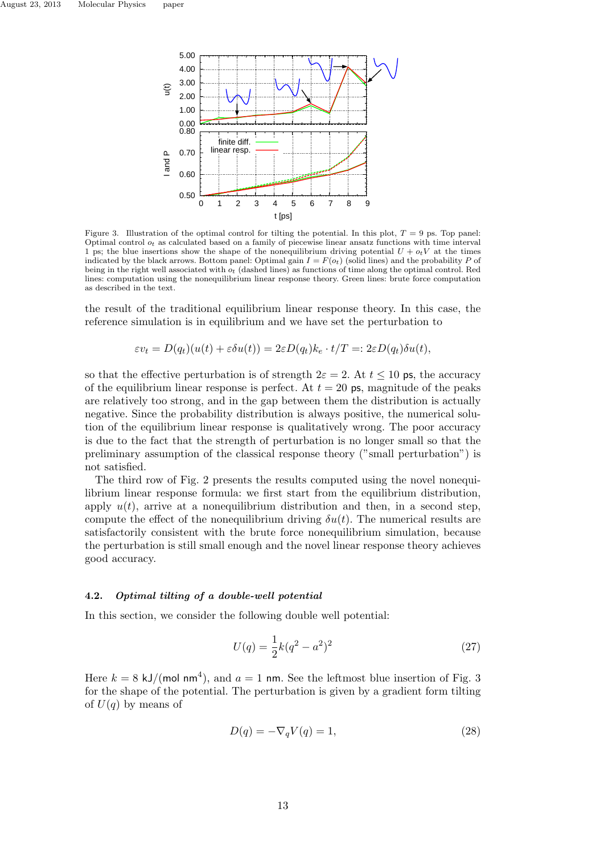

Figure 3. Illustration of the optimal control for tilting the potential. In this plot,  $T = 9$  ps. Top panel: Optimal control *ot* as calculated based on a family of piecewise linear ansatz functions with time interval 1 ps; the blue insertions show the shape of the nonequilibrium driving potential  $U + o_t V$  at the times indicated by the black arrows. Bottom panel: Optimal gain  $I = F(o_t)$  (solid lines) and the probability *P* of being in the right well associated with *ot* (dashed lines) as functions of time along the optimal control. Red lines: computation using the nonequilibrium linear response theory. Green lines: brute force computation as described in the text.

the result of the traditional equilibrium linear response theory. In this case, the reference simulation is in equilibrium and we have set the perturbation to

$$
\varepsilon v_t = D(q_t)(u(t) + \varepsilon \delta u(t)) = 2\varepsilon D(q_t)k_e \cdot t/T =: 2\varepsilon D(q_t)\delta u(t),
$$

so that the effective perturbation is of strength  $2\varepsilon = 2$ . At  $t \le 10$  ps, the accuracy of the equilibrium linear response is perfect. At  $t = 20$  ps, magnitude of the peaks are relatively too strong, and in the gap between them the distribution is actually negative. Since the probability distribution is always positive, the numerical solution of the equilibrium linear response is qualitatively wrong. The poor accuracy is due to the fact that the strength of perturbation is no longer small so that the preliminary assumption of the classical response theory ("small perturbation") is not satisfied.

The third row of Fig. 2 presents the results computed using the novel nonequilibrium linear response formula: we first start from the equilibrium distribution, apply  $u(t)$ , arrive at a nonequilibrium distribution and then, in a second step, compute the effect of the nonequilibrium driving  $\delta u(t)$ . The numerical results are satisfactorily consistent with the brute force nonequilibrium simulation, because the perturbation is still small enough and the novel linear response theory achieves good accuracy.

## **4.2.** *Optimal tilting of a double-well potential*

In this section, we consider the following double well potential:

$$
U(q) = \frac{1}{2}k(q^2 - a^2)^2
$$
\n(27)

Here  $k = 8 \text{ kJ/(mol nm<sup>4</sup>)}$ , and  $a = 1 \text{ nm}$ . See the leftmost blue insertion of Fig. 3 for the shape of the potential. The perturbation is given by a gradient form tilting of  $U(q)$  by means of

$$
D(q) = -\nabla_q V(q) = 1,\t\t(28)
$$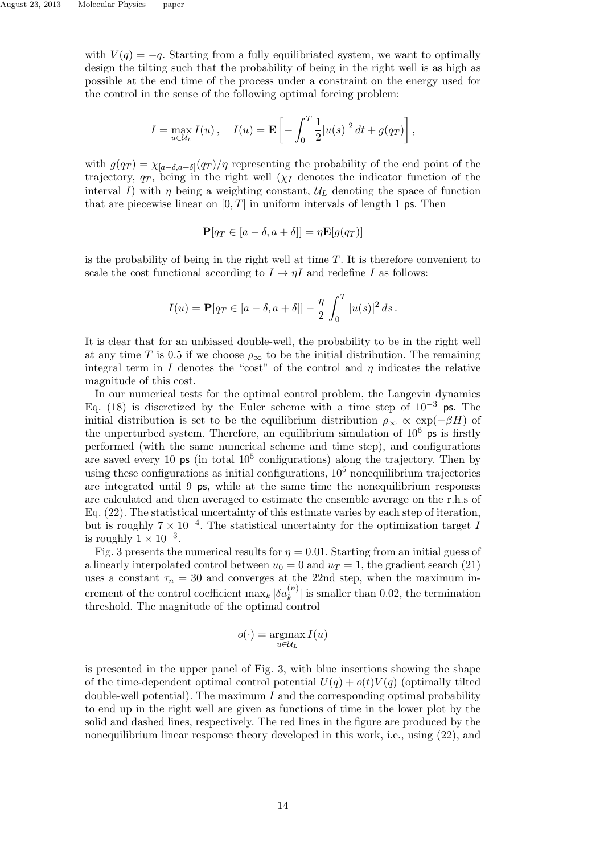with  $V(q) = -q$ . Starting from a fully equilibriated system, we want to optimally design the tilting such that the probability of being in the right well is as high as possible at the end time of the process under a constraint on the energy used for the control in the sense of the following optimal forcing problem:

$$
I = \max_{u \in U_L} I(u), \quad I(u) = \mathbf{E} \left[ - \int_0^T \frac{1}{2} |u(s)|^2 dt + g(q_T) \right],
$$

with  $g(q_T) = \chi_{[a-\delta,a+\delta]}(q_T)/\eta$  representing the probability of the end point of the trajectory,  $q_T$ , being in the right well ( $\chi_I$  denotes the indicator function of the interval *I*) with  $\eta$  being a weighting constant,  $\mathcal{U}_L$  denoting the space of function that are piecewise linear on  $[0, T]$  in uniform intervals of length 1 ps. Then

$$
\mathbf{P}[q_T \in [a - \delta, a + \delta]] = \eta \mathbf{E}[g(q_T)]
$$

is the probability of being in the right well at time *T*. It is therefore convenient to scale the cost functional according to  $I \mapsto nI$  and redefine *I* as follows:

$$
I(u) = \mathbf{P}[q_T \in [a - \delta, a + \delta]] - \frac{\eta}{2} \int_0^T |u(s)|^2 ds.
$$

It is clear that for an unbiased double-well, the probability to be in the right well at any time *T* is 0.5 if we choose  $\rho_{\infty}$  to be the initial distribution. The remaining integral term in *I* denotes the "cost" of the control and  $\eta$  indicates the relative magnitude of this cost.

In our numerical tests for the optimal control problem, the Langevin dynamics Eq. (18) is discretized by the Euler scheme with a time step of 10*−*<sup>3</sup> ps. The initial distribution is set to be the equilibrium distribution  $\rho_{\infty} \propto \exp(-\beta H)$  of the unperturbed system. Therefore, an equilibrium simulation of  $10^6$  ps is firstly performed (with the same numerical scheme and time step), and configurations are saved every 10  $\text{ps}$  (in total  $10^5$  configurations) along the trajectory. Then by using these configurations as initial configurations,  $10<sup>5</sup>$  nonequilibrium trajectories are integrated until 9 ps, while at the same time the nonequilibrium responses are calculated and then averaged to estimate the ensemble average on the r.h.s of Eq. (22). The statistical uncertainty of this estimate varies by each step of iteration, but is roughly 7 *×* 10*−*<sup>4</sup> . The statistical uncertainty for the optimization target *I* is roughly  $1 \times 10^{-3}$ .

Fig. 3 presents the numerical results for  $\eta = 0.01$ . Starting from an initial guess of a linearly interpolated control between  $u_0 = 0$  and  $u_T = 1$ , the gradient search (21) uses a constant  $\tau_n = 30$  and converges at the 22nd step, when the maximum increment of the control coefficient  $\max_k |\delta a_k^{(n)}|$  is smaller than 0.02, the termination threshold. The magnitude of the optimal control

$$
o(\cdot) = \operatorname*{argmax}_{u \in \mathcal{U}_L} I(u)
$$

is presented in the upper panel of Fig. 3, with blue insertions showing the shape of the time-dependent optimal control potential  $U(q) + o(t)V(q)$  (optimally tilted double-well potential). The maximum *I* and the corresponding optimal probability to end up in the right well are given as functions of time in the lower plot by the solid and dashed lines, respectively. The red lines in the figure are produced by the nonequilibrium linear response theory developed in this work, i.e., using (22), and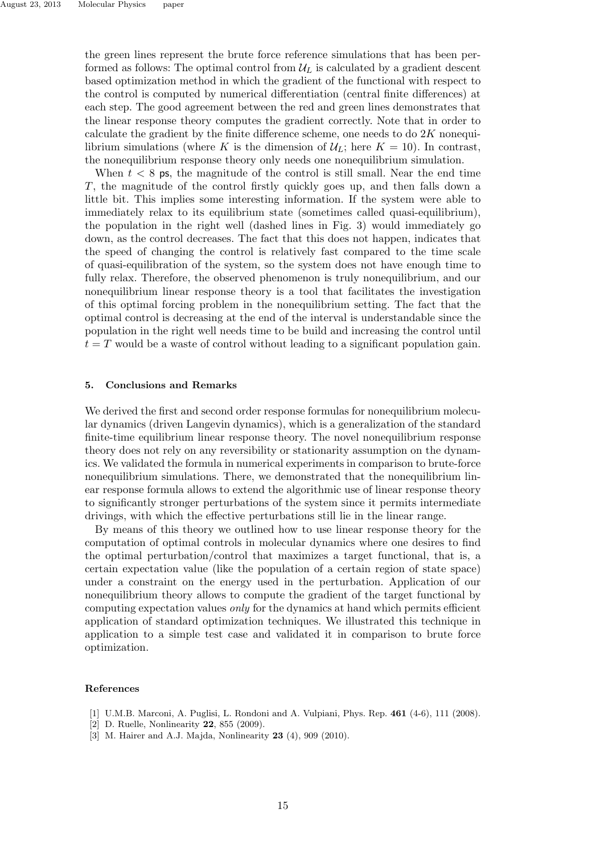the green lines represent the brute force reference simulations that has been performed as follows: The optimal control from  $\mathcal{U}_L$  is calculated by a gradient descent based optimization method in which the gradient of the functional with respect to the control is computed by numerical differentiation (central finite differences) at each step. The good agreement between the red and green lines demonstrates that the linear response theory computes the gradient correctly. Note that in order to calculate the gradient by the finite difference scheme, one needs to do 2*K* nonequilibrium simulations (where *K* is the dimension of  $U_L$ ; here  $K = 10$ ). In contrast, the nonequilibrium response theory only needs one nonequilibrium simulation.

When  $t < 8$  ps, the magnitude of the control is still small. Near the end time *T*, the magnitude of the control firstly quickly goes up, and then falls down a little bit. This implies some interesting information. If the system were able to immediately relax to its equilibrium state (sometimes called quasi-equilibrium), the population in the right well (dashed lines in Fig. 3) would immediately go down, as the control decreases. The fact that this does not happen, indicates that the speed of changing the control is relatively fast compared to the time scale of quasi-equilibration of the system, so the system does not have enough time to fully relax. Therefore, the observed phenomenon is truly nonequilibrium, and our nonequilibrium linear response theory is a tool that facilitates the investigation of this optimal forcing problem in the nonequilibrium setting. The fact that the optimal control is decreasing at the end of the interval is understandable since the population in the right well needs time to be build and increasing the control until  $t = T$  would be a waste of control without leading to a significant population gain.

#### **5. Conclusions and Remarks**

We derived the first and second order response formulas for nonequilibrium molecular dynamics (driven Langevin dynamics), which is a generalization of the standard finite-time equilibrium linear response theory. The novel nonequilibrium response theory does not rely on any reversibility or stationarity assumption on the dynamics. We validated the formula in numerical experiments in comparison to brute-force nonequilibrium simulations. There, we demonstrated that the nonequilibrium linear response formula allows to extend the algorithmic use of linear response theory to significantly stronger perturbations of the system since it permits intermediate drivings, with which the effective perturbations still lie in the linear range.

By means of this theory we outlined how to use linear response theory for the computation of optimal controls in molecular dynamics where one desires to find the optimal perturbation/control that maximizes a target functional, that is, a certain expectation value (like the population of a certain region of state space) under a constraint on the energy used in the perturbation. Application of our nonequilibrium theory allows to compute the gradient of the target functional by computing expectation values *only* for the dynamics at hand which permits efficient application of standard optimization techniques. We illustrated this technique in application to a simple test case and validated it in comparison to brute force optimization.

### **References**

- [1] U.M.B. Marconi, A. Puglisi, L. Rondoni and A. Vulpiani, Phys. Rep. **461** (4-6), 111 (2008).
- [2] D. Ruelle, Nonlinearity **22**, 855 (2009).
- [3] M. Hairer and A.J. Majda, Nonlinearity **23** (4), 909 (2010).